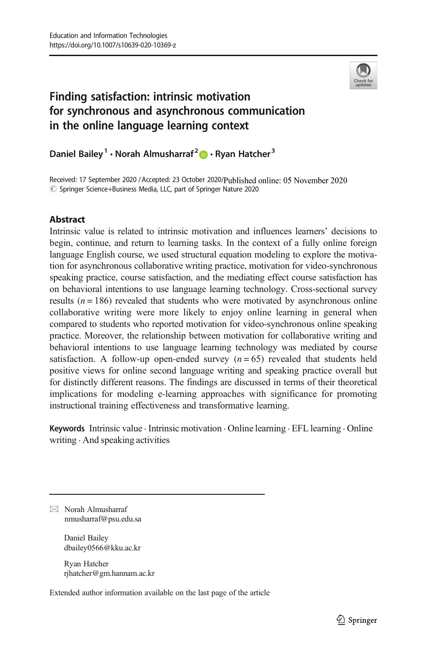

# Finding satisfaction: intrinsic motivation for synchronous and asynchronous communication in the online language learning context

Daniel Bailey<sup>1</sup> • Norah Almusharraf<sup>2</sup>  $\bullet$  • Ryan Hatcher<sup>3</sup>

Received: 17 September 2020 / Accepted: 23 October 2020/Published online: 05 November 2020  $\circled{c}$  Springer Science+Business Media, LLC, part of Springer Nature 2020

## **Abstract**

Intrinsic value is related to intrinsic motivation and influences learners' decisions to begin, continue, and return to learning tasks. In the context of a fully online foreign language English course, we used structural equation modeling to explore the motivation for asynchronous collaborative writing practice, motivation for video-synchronous speaking practice, course satisfaction, and the mediating effect course satisfaction has on behavioral intentions to use language learning technology. Cross-sectional survey results ( $n = 186$ ) revealed that students who were motivated by asynchronous online collaborative writing were more likely to enjoy online learning in general when compared to students who reported motivation for video-synchronous online speaking practice. Moreover, the relationship between motivation for collaborative writing and behavioral intentions to use language learning technology was mediated by course satisfaction. A follow-up open-ended survey  $(n = 65)$  revealed that students held positive views for online second language writing and speaking practice overall but for distinctly different reasons. The findings are discussed in terms of their theoretical implications for modeling e-learning approaches with significance for promoting instructional training effectiveness and transformative learning.

Keywords Intrinsic value . Intrinsic motivation . Online learning . EFL learning . Online writing . And speaking activities

 $\boxtimes$  Norah Almusharraf [nmusharraf@psu.edu.sa](mailto:nmusharraf@psu.edu.sa)

> Daniel Bailey dbailey0566@kku.ac.kr

Ryan Hatcher rjhatcher@gm.hannam.ac.kr

Extended author information available on the last page of the article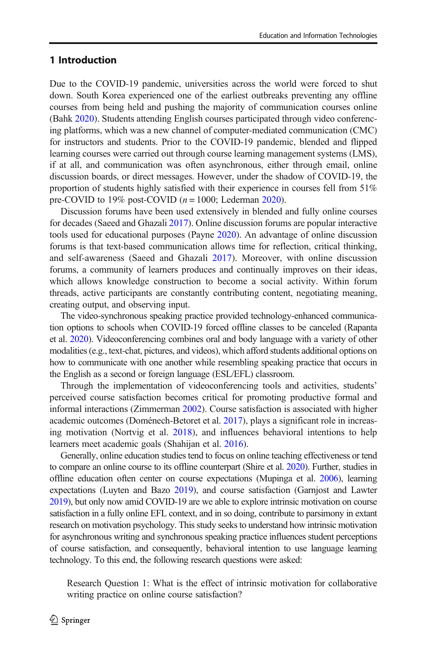## 1 Introduction

Due to the COVID-19 pandemic, universities across the world were forced to shut down. South Korea experienced one of the earliest outbreaks preventing any offline courses from being held and pushing the majority of communication courses online (Bahk [2020\)](#page-18-0). Students attending English courses participated through video conferencing platforms, which was a new channel of computer-mediated communication (CMC) for instructors and students. Prior to the COVID-19 pandemic, blended and flipped learning courses were carried out through course learning management systems (LMS), if at all, and communication was often asynchronous, either through email, online discussion boards, or direct messages. However, under the shadow of COVID-19, the proportion of students highly satisfied with their experience in courses fell from 51% pre-COVID to 19% post-COVID  $(n = 1000;$  Lederman [2020](#page-19-0)).

Discussion forums have been used extensively in blended and fully online courses for decades (Saeed and Ghazali [2017\)](#page-19-0). Online discussion forums are popular interactive tools used for educational purposes (Payne [2020](#page-19-0)). An advantage of online discussion forums is that text-based communication allows time for reflection, critical thinking, and self-awareness (Saeed and Ghazali [2017\)](#page-19-0). Moreover, with online discussion forums, a community of learners produces and continually improves on their ideas, which allows knowledge construction to become a social activity. Within forum threads, active participants are constantly contributing content, negotiating meaning, creating output, and observing input.

The video-synchronous speaking practice provided technology-enhanced communication options to schools when COVID-19 forced offline classes to be canceled (Rapanta et al. [2020\)](#page-19-0). Videoconferencing combines oral and body language with a variety of other modalities (e.g., text-chat, pictures, and videos), which afford students additional options on how to communicate with one another while resembling speaking practice that occurs in the English as a second or foreign language (ESL/EFL) classroom.

Through the implementation of videoconferencing tools and activities, students' perceived course satisfaction becomes critical for promoting productive formal and informal interactions (Zimmerman [2002\)](#page-20-0). Course satisfaction is associated with higher academic outcomes (Doménech-Betoret et al. [2017\)](#page-18-0), plays a significant role in increasing motivation (Nortvig et al. [2018\)](#page-19-0), and influences behavioral intentions to help learners meet academic goals (Shahijan et al. [2016](#page-19-0)).

Generally, online education studies tend to focus on online teaching effectiveness or tend to compare an online course to its offline counterpart (Shire et al. [2020\)](#page-19-0). Further, studies in offline education often center on course expectations (Mupinga et al. [2006](#page-19-0)), learning expectations (Luyten and Bazo [2019\)](#page-19-0), and course satisfaction (Garnjost and Lawter [2019\)](#page-18-0), but only now amid COVID-19 are we able to explore intrinsic motivation on course satisfaction in a fully online EFL context, and in so doing, contribute to parsimony in extant research on motivation psychology. This study seeks to understand how intrinsic motivation for asynchronous writing and synchronous speaking practice influences student perceptions of course satisfaction, and consequently, behavioral intention to use language learning technology. To this end, the following research questions were asked:

Research Question 1: What is the effect of intrinsic motivation for collaborative writing practice on online course satisfaction?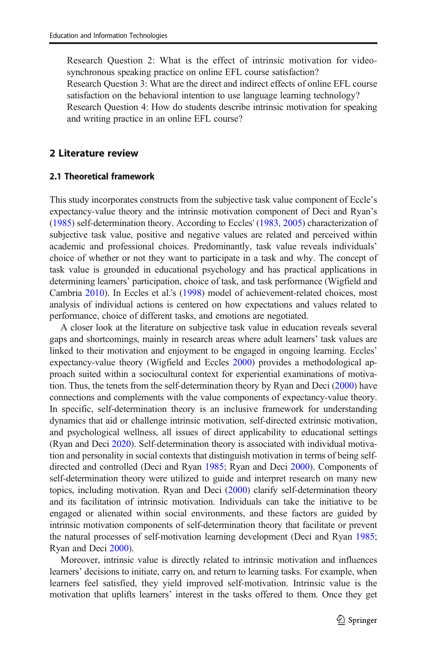Research Question 2: What is the effect of intrinsic motivation for videosynchronous speaking practice on online EFL course satisfaction?

Research Question 3: What are the direct and indirect effects of online EFL course satisfaction on the behavioral intention to use language learning technology?

Research Question 4: How do students describe intrinsic motivation for speaking and writing practice in an online EFL course?

### 2 Literature review

### 2.1 Theoretical framework

This study incorporates constructs from the subjective task value component of Eccle's expectancy-value theory and the intrinsic motivation component of Deci and Ryan's [\(1985\)](#page-18-0) self-determination theory. According to Eccles' [\(1983,](#page-18-0) [2005](#page-18-0)) characterization of subjective task value, positive and negative values are related and perceived within academic and professional choices. Predominantly, task value reveals individuals' choice of whether or not they want to participate in a task and why. The concept of task value is grounded in educational psychology and has practical applications in determining learners' participation, choice of task, and task performance (Wigfield and Cambria [2010](#page-20-0)). In Eccles et al.'s ([1998](#page-18-0)) model of achievement-related choices, most analysis of individual actions is centered on how expectations and values related to performance, choice of different tasks, and emotions are negotiated.

A closer look at the literature on subjective task value in education reveals several gaps and shortcomings, mainly in research areas where adult learners' task values are linked to their motivation and enjoyment to be engaged in ongoing learning. Eccles' expectancy-value theory (Wigfield and Eccles [2000](#page-20-0)) provides a methodological approach suited within a sociocultural context for experiential examinations of motivation. Thus, the tenets from the self-determination theory by Ryan and Deci ([2000](#page-19-0)) have connections and complements with the value components of expectancy-value theory. In specific, self-determination theory is an inclusive framework for understanding dynamics that aid or challenge intrinsic motivation, self-directed extrinsic motivation, and psychological wellness, all issues of direct applicability to educational settings (Ryan and Deci [2020\)](#page-19-0). Self-determination theory is associated with individual motivation and personality in social contexts that distinguish motivation in terms of being selfdirected and controlled (Deci and Ryan [1985;](#page-18-0) Ryan and Deci [2000\)](#page-19-0). Components of self-determination theory were utilized to guide and interpret research on many new topics, including motivation. Ryan and Deci ([2000](#page-19-0)) clarify self-determination theory and its facilitation of intrinsic motivation. Individuals can take the initiative to be engaged or alienated within social environments, and these factors are guided by intrinsic motivation components of self-determination theory that facilitate or prevent the natural processes of self-motivation learning development (Deci and Ryan [1985;](#page-18-0) Ryan and Deci [2000](#page-19-0)).

Moreover, intrinsic value is directly related to intrinsic motivation and influences learners' decisions to initiate, carry on, and return to learning tasks. For example, when learners feel satisfied, they yield improved self-motivation. Intrinsic value is the motivation that uplifts learners' interest in the tasks offered to them. Once they get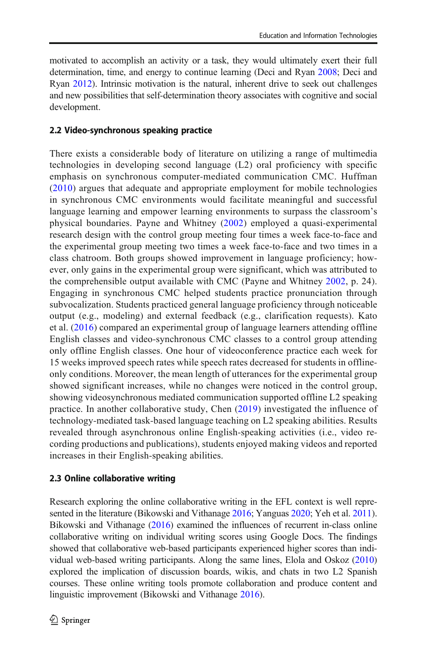motivated to accomplish an activity or a task, they would ultimately exert their full determination, time, and energy to continue learning (Deci and Ryan [2008;](#page-18-0) Deci and Ryan [2012\)](#page-18-0). Intrinsic motivation is the natural, inherent drive to seek out challenges and new possibilities that self-determination theory associates with cognitive and social development.

## 2.2 Video-synchronous speaking practice

There exists a considerable body of literature on utilizing a range of multimedia technologies in developing second language (L2) oral proficiency with specific emphasis on synchronous computer-mediated communication CMC. Huffman [\(2010\)](#page-18-0) argues that adequate and appropriate employment for mobile technologies in synchronous CMC environments would facilitate meaningful and successful language learning and empower learning environments to surpass the classroom's physical boundaries. Payne and Whitney [\(2002\)](#page-19-0) employed a quasi-experimental research design with the control group meeting four times a week face-to-face and the experimental group meeting two times a week face-to-face and two times in a class chatroom. Both groups showed improvement in language proficiency; however, only gains in the experimental group were significant, which was attributed to the comprehensible output available with CMC (Payne and Whitney [2002,](#page-19-0) p. 24). Engaging in synchronous CMC helped students practice pronunciation through subvocalization. Students practiced general language proficiency through noticeable output (e.g., modeling) and external feedback (e.g., clarification requests). Kato et al. [\(2016\)](#page-19-0) compared an experimental group of language learners attending offline English classes and video-synchronous CMC classes to a control group attending only offline English classes. One hour of videoconference practice each week for 15 weeks improved speech rates while speech rates decreased for students in offlineonly conditions. Moreover, the mean length of utterances for the experimental group showed significant increases, while no changes were noticed in the control group, showing videosynchronous mediated communication supported offline L2 speaking practice. In another collaborative study, Chen ([2019](#page-18-0)) investigated the influence of technology-mediated task-based language teaching on L2 speaking abilities. Results revealed through asynchronous online English-speaking activities (i.e., video recording productions and publications), students enjoyed making videos and reported increases in their English-speaking abilities.

## 2.3 Online collaborative writing

Research exploring the online collaborative writing in the EFL context is well represented in the literature (Bikowski and Vithanage [2016;](#page-18-0) Yanguas [2020](#page-20-0); Yeh et al. [2011\)](#page-20-0). Bikowski and Vithanage ([2016](#page-18-0)) examined the influences of recurrent in-class online collaborative writing on individual writing scores using Google Docs. The findings showed that collaborative web-based participants experienced higher scores than individual web-based writing participants. Along the same lines, Elola and Oskoz ([2010](#page-18-0)) explored the implication of discussion boards, wikis, and chats in two L2 Spanish courses. These online writing tools promote collaboration and produce content and linguistic improvement (Bikowski and Vithanage [2016](#page-18-0)).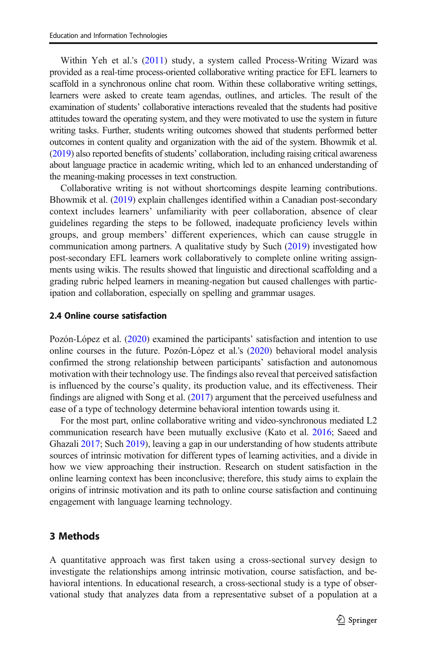Within Yeh et al.'s [\(2011](#page-20-0)) study, a system called Process-Writing Wizard was provided as a real-time process-oriented collaborative writing practice for EFL learners to scaffold in a synchronous online chat room. Within these collaborative writing settings, learners were asked to create team agendas, outlines, and articles. The result of the examination of students' collaborative interactions revealed that the students had positive attitudes toward the operating system, and they were motivated to use the system in future writing tasks. Further, students writing outcomes showed that students performed better outcomes in content quality and organization with the aid of the system. Bhowmik et al. [\(2019\)](#page-18-0) also reported benefits of students' collaboration, including raising critical awareness about language practice in academic writing, which led to an enhanced understanding of the meaning-making processes in text construction.

Collaborative writing is not without shortcomings despite learning contributions. Bhowmik et al. ([2019](#page-18-0)) explain challenges identified within a Canadian post-secondary context includes learners' unfamiliarity with peer collaboration, absence of clear guidelines regarding the steps to be followed, inadequate proficiency levels within groups, and group members' different experiences, which can cause struggle in communication among partners. A qualitative study by Such [\(2019\)](#page-20-0) investigated how post-secondary EFL learners work collaboratively to complete online writing assignments using wikis. The results showed that linguistic and directional scaffolding and a grading rubric helped learners in meaning-negation but caused challenges with participation and collaboration, especially on spelling and grammar usages.

### 2.4 Online course satisfaction

Pozón-López et al. [\(2020\)](#page-19-0) examined the participants' satisfaction and intention to use online courses in the future. Pozón-López et al.'s [\(2020\)](#page-19-0) behavioral model analysis confirmed the strong relationship between participants' satisfaction and autonomous motivation with their technology use. The findings also reveal that perceived satisfaction is influenced by the course's quality, its production value, and its effectiveness. Their findings are aligned with Song et al. [\(2017\)](#page-19-0) argument that the perceived usefulness and ease of a type of technology determine behavioral intention towards using it.

For the most part, online collaborative writing and video-synchronous mediated L2 communication research have been mutually exclusive (Kato et al. [2016](#page-19-0); Saeed and Ghazali [2017;](#page-19-0) Such [2019](#page-20-0)), leaving a gap in our understanding of how students attribute sources of intrinsic motivation for different types of learning activities, and a divide in how we view approaching their instruction. Research on student satisfaction in the online learning context has been inconclusive; therefore, this study aims to explain the origins of intrinsic motivation and its path to online course satisfaction and continuing engagement with language learning technology.

## 3 Methods

A quantitative approach was first taken using a cross-sectional survey design to investigate the relationships among intrinsic motivation, course satisfaction, and behavioral intentions. In educational research, a cross-sectional study is a type of observational study that analyzes data from a representative subset of a population at a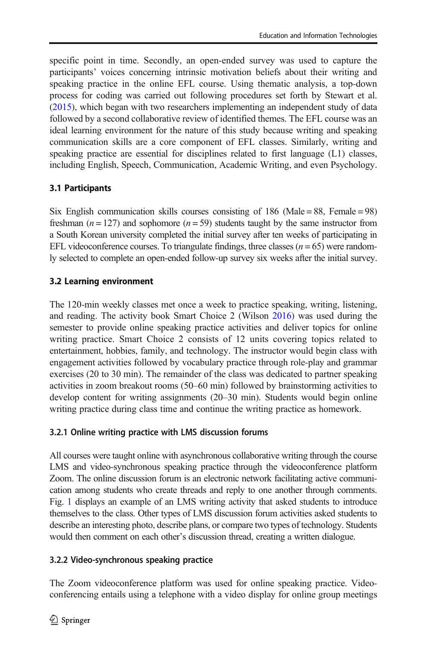specific point in time. Secondly, an open-ended survey was used to capture the participants' voices concerning intrinsic motivation beliefs about their writing and speaking practice in the online EFL course. Using thematic analysis, a top-down process for coding was carried out following procedures set forth by Stewart et al. [\(2015\)](#page-20-0), which began with two researchers implementing an independent study of data followed by a second collaborative review of identified themes. The EFL course was an ideal learning environment for the nature of this study because writing and speaking communication skills are a core component of EFL classes. Similarly, writing and speaking practice are essential for disciplines related to first language (L1) classes, including English, Speech, Communication, Academic Writing, and even Psychology.

## 3.1 Participants

Six English communication skills courses consisting of 186 (Male = 88, Female = 98) freshman  $(n = 127)$  and sophomore  $(n = 59)$  students taught by the same instructor from a South Korean university completed the initial survey after ten weeks of participating in EFL videoconference courses. To triangulate findings, three classes  $(n = 65)$  were randomly selected to complete an open-ended follow-up survey six weeks after the initial survey.

## 3.2 Learning environment

The 120-min weekly classes met once a week to practice speaking, writing, listening, and reading. The activity book Smart Choice 2 (Wilson [2016](#page-20-0)) was used during the semester to provide online speaking practice activities and deliver topics for online writing practice. Smart Choice 2 consists of 12 units covering topics related to entertainment, hobbies, family, and technology. The instructor would begin class with engagement activities followed by vocabulary practice through role-play and grammar exercises (20 to 30 min). The remainder of the class was dedicated to partner speaking activities in zoom breakout rooms (50–60 min) followed by brainstorming activities to develop content for writing assignments (20–30 min). Students would begin online writing practice during class time and continue the writing practice as homework.

## 3.2.1 Online writing practice with LMS discussion forums

All courses were taught online with asynchronous collaborative writing through the course LMS and video-synchronous speaking practice through the videoconference platform Zoom. The online discussion forum is an electronic network facilitating active communication among students who create threads and reply to one another through comments. Fig. [1](#page-6-0) displays an example of an LMS writing activity that asked students to introduce themselves to the class. Other types of LMS discussion forum activities asked students to describe an interesting photo, describe plans, or compare two types of technology. Students would then comment on each other's discussion thread, creating a written dialogue.

## 3.2.2 Video-synchronous speaking practice

The Zoom videoconference platform was used for online speaking practice. Videoconferencing entails using a telephone with a video display for online group meetings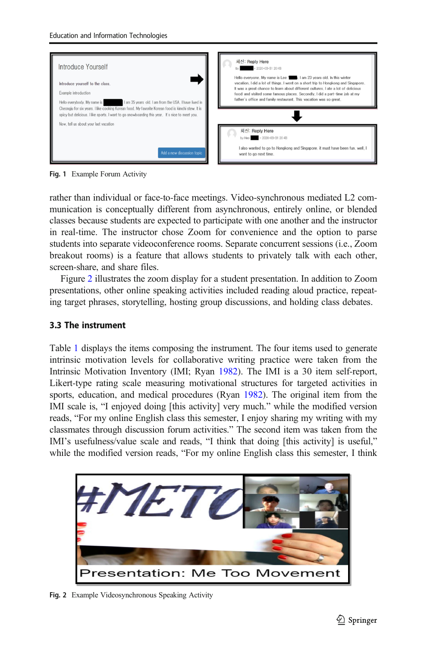<span id="page-6-0"></span>

Fig. 1 Example Forum Activity

rather than individual or face-to-face meetings. Video-synchronous mediated L2 communication is conceptually different from asynchronous, entirely online, or blended classes because students are expected to participate with one another and the instructor in real-time. The instructor chose Zoom for convenience and the option to parse students into separate videoconference rooms. Separate concurrent sessions (i.e., Zoom breakout rooms) is a feature that allows students to privately talk with each other, screen-share, and share files.

Figure 2 illustrates the zoom display for a student presentation. In addition to Zoom presentations, other online speaking activities included reading aloud practice, repeating target phrases, storytelling, hosting group discussions, and holding class debates.

## 3.3 The instrument

Table [1](#page-7-0) displays the items composing the instrument. The four items used to generate intrinsic motivation levels for collaborative writing practice were taken from the Intrinsic Motivation Inventory (IMI; Ryan [1982\)](#page-19-0). The IMI is a 30 item self-report, Likert-type rating scale measuring motivational structures for targeted activities in sports, education, and medical procedures (Ryan [1982](#page-19-0)). The original item from the IMI scale is, "I enjoyed doing [this activity] very much." while the modified version reads, "For my online English class this semester, I enjoy sharing my writing with my classmates through discussion forum activities." The second item was taken from the IMI's usefulness/value scale and reads, "I think that doing [this activity] is useful," while the modified version reads, "For my online English class this semester, I think



Fig. 2 Example Videosynchronous Speaking Activity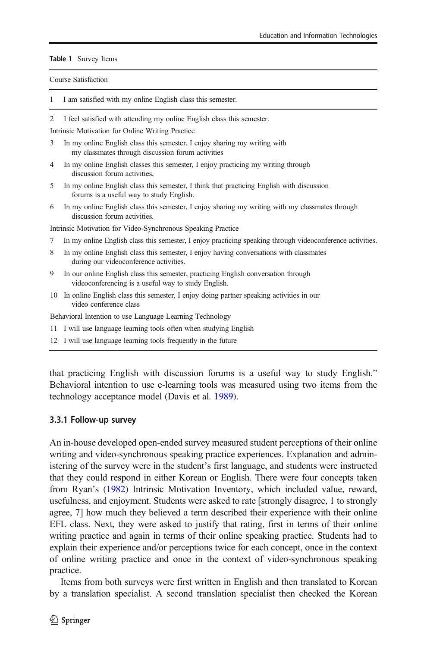#### <span id="page-7-0"></span>Table 1 Survey Items

Course Satisfaction

1 I am satisfied with my online English class this semester.

2 I feel satisfied with attending my online English class this semester.

Intrinsic Motivation for Online Writing Practice

- 3 In my online English class this semester, I enjoy sharing my writing with my classmates through discussion forum activities
- 4 In my online English classes this semester, I enjoy practicing my writing through discussion forum activities,
- 5 In my online English class this semester, I think that practicing English with discussion forums is a useful way to study English.
- 6 In my online English class this semester, I enjoy sharing my writing with my classmates through discussion forum activities.

Intrinsic Motivation for Video-Synchronous Speaking Practice

- 7 In my online English class this semester, I enjoy practicing speaking through videoconference activities.
- 8 In my online English class this semester, I enjoy having conversations with classmates during our videoconference activities.
- In our online English class this semester, practicing English conversation through videoconferencing is a useful way to study English.
- 10 In online English class this semester, I enjoy doing partner speaking activities in our video conference class

Behavioral Intention to use Language Learning Technology

- 11 I will use language learning tools often when studying English
- 12 I will use language learning tools frequently in the future

that practicing English with discussion forums is a useful way to study English." Behavioral intention to use e-learning tools was measured using two items from the technology acceptance model (Davis et al. [1989\)](#page-18-0).

#### 3.3.1 Follow-up survey

An in-house developed open-ended survey measured student perceptions of their online writing and video-synchronous speaking practice experiences. Explanation and administering of the survey were in the student's first language, and students were instructed that they could respond in either Korean or English. There were four concepts taken from Ryan's [\(1982\)](#page-19-0) Intrinsic Motivation Inventory, which included value, reward, usefulness, and enjoyment. Students were asked to rate [strongly disagree, 1 to strongly agree, 7] how much they believed a term described their experience with their online EFL class. Next, they were asked to justify that rating, first in terms of their online writing practice and again in terms of their online speaking practice. Students had to explain their experience and/or perceptions twice for each concept, once in the context of online writing practice and once in the context of video-synchronous speaking practice.

Items from both surveys were first written in English and then translated to Korean by a translation specialist. A second translation specialist then checked the Korean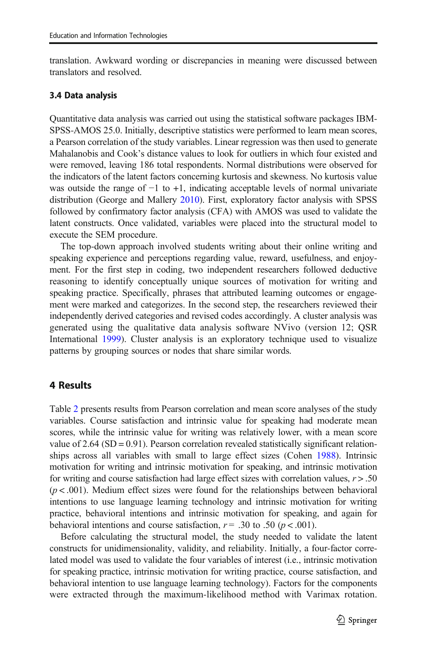translation. Awkward wording or discrepancies in meaning were discussed between translators and resolved.

#### 3.4 Data analysis

Quantitative data analysis was carried out using the statistical software packages IBM-SPSS-AMOS 25.0. Initially, descriptive statistics were performed to learn mean scores, a Pearson correlation of the study variables. Linear regression was then used to generate Mahalanobis and Cook's distance values to look for outliers in which four existed and were removed, leaving 186 total respondents. Normal distributions were observed for the indicators of the latent factors concerning kurtosis and skewness. No kurtosis value was outside the range of −1 to +1, indicating acceptable levels of normal univariate distribution (George and Mallery [2010](#page-18-0)). First, exploratory factor analysis with SPSS followed by confirmatory factor analysis (CFA) with AMOS was used to validate the latent constructs. Once validated, variables were placed into the structural model to execute the SEM procedure.

The top-down approach involved students writing about their online writing and speaking experience and perceptions regarding value, reward, usefulness, and enjoyment. For the first step in coding, two independent researchers followed deductive reasoning to identify conceptually unique sources of motivation for writing and speaking practice. Specifically, phrases that attributed learning outcomes or engagement were marked and categorizes. In the second step, the researchers reviewed their independently derived categories and revised codes accordingly. A cluster analysis was generated using the qualitative data analysis software NVivo (version 12; QSR International [1999\)](#page-19-0). Cluster analysis is an exploratory technique used to visualize patterns by grouping sources or nodes that share similar words.

## 4 Results

Table [2](#page-9-0) presents results from Pearson correlation and mean score analyses of the study variables. Course satisfaction and intrinsic value for speaking had moderate mean scores, while the intrinsic value for writing was relatively lower, with a mean score value of  $2.64$  (SD = 0.91). Pearson correlation revealed statistically significant relationships across all variables with small to large effect sizes (Cohen [1988\)](#page-18-0). Intrinsic motivation for writing and intrinsic motivation for speaking, and intrinsic motivation for writing and course satisfaction had large effect sizes with correlation values,  $r > .50$  $(p < .001)$ . Medium effect sizes were found for the relationships between behavioral intentions to use language learning technology and intrinsic motivation for writing practice, behavioral intentions and intrinsic motivation for speaking, and again for behavioral intentions and course satisfaction,  $r = .30$  to .50 ( $p < .001$ ).

Before calculating the structural model, the study needed to validate the latent constructs for unidimensionality, validity, and reliability. Initially, a four-factor correlated model was used to validate the four variables of interest (i.e., intrinsic motivation for speaking practice, intrinsic motivation for writing practice, course satisfaction, and behavioral intention to use language learning technology). Factors for the components were extracted through the maximum-likelihood method with Varimax rotation.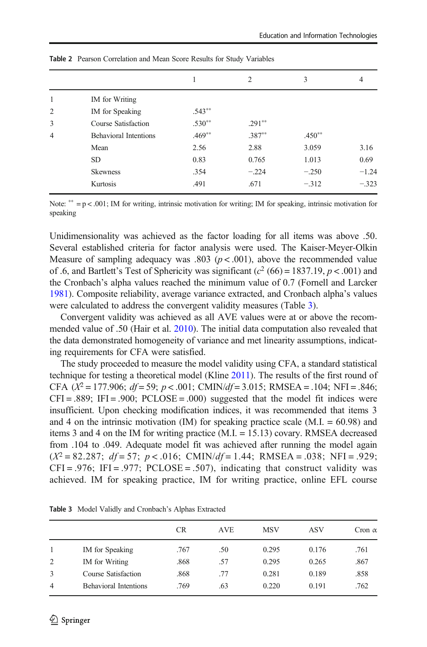|                |                              |          | 2        | 3        | 4       |
|----------------|------------------------------|----------|----------|----------|---------|
| 1              | IM for Writing               |          |          |          |         |
| 2              | IM for Speaking              | $.543**$ |          |          |         |
| 3              | Course Satisfaction          | $.530**$ | $.291**$ |          |         |
| $\overline{4}$ | <b>Behavioral Intentions</b> | $.469**$ | $.387**$ | $.450**$ |         |
|                | Mean                         | 2.56     | 2.88     | 3.059    | 3.16    |
|                | <b>SD</b>                    | 0.83     | 0.765    | 1.013    | 0.69    |
|                | <b>Skewness</b>              | .354     | $-.224$  | $-.250$  | $-1.24$ |
|                | Kurtosis                     | .491     | .671     | $-.312$  | $-.323$ |

<span id="page-9-0"></span>Table 2 Pearson Correlation and Mean Score Results for Study Variables

Note: \*\*  $= p < .001$ ; IM for writing, intrinsic motivation for writing; IM for speaking, intrinsic motivation for speaking

Unidimensionality was achieved as the factor loading for all items was above .50. Several established criteria for factor analysis were used. The Kaiser-Meyer-Olkin Measure of sampling adequacy was .803 ( $p < .001$ ), above the recommended value of .6, and Bartlett's Test of Sphericity was significant  $(c^2 (66) = 1837.19, p < .001)$  and the Cronbach's alpha values reached the minimum value of 0.7 (Fornell and Larcker [1981\)](#page-18-0). Composite reliability, average variance extracted, and Cronbach alpha's values were calculated to address the convergent validity measures (Table 3).

Convergent validity was achieved as all AVE values were at or above the recommended value of .50 (Hair et al. [2010\)](#page-18-0). The initial data computation also revealed that the data demonstrated homogeneity of variance and met linearity assumptions, indicating requirements for CFA were satisfied.

The study proceeded to measure the model validity using CFA, a standard statistical technique for testing a theoretical model (Kline [2011\)](#page-19-0). The results of the first round of CFA  $(X^2 = 177.906; df = 59; p < .001; CMIN/df = 3.015; RMSEA = .104; NFI = .846;$  $CFI = .889$ ; IFI = .900; PCLOSE = .000) suggested that the model fit indices were insufficient. Upon checking modification indices, it was recommended that items 3 and 4 on the intrinsic motivation  $(IM)$  for speaking practice scale  $(M.I. = 60.98)$  and items 3 and 4 on the IM for writing practice (M.I. = 15.13) covary. RMSEA decreased from .104 to .049. Adequate model fit was achieved after running the model again  $(X^2 = 82.287; df = 57; p < .016; CMIN/df = 1.44; RMSEA = .038; NFI = .929;$  $CFI = .976$ ; IFI = .977; PCLOSE = .507), indicating that construct validity was achieved. IM for speaking practice, IM for writing practice, online EFL course

|                |                              | CR   | <b>AVE</b> | <b>MSV</b> | ASV   | Cron $\alpha$ |
|----------------|------------------------------|------|------------|------------|-------|---------------|
|                | IM for Speaking              | .767 | .50        | 0.295      | 0.176 | .761          |
| 2              | IM for Writing               | .868 | .57        | 0.295      | 0.265 | .867          |
| 3              | Course Satisfaction          | .868 | .77        | 0.281      | 0.189 | .858          |
| $\overline{4}$ | <b>Behavioral Intentions</b> | .769 | .63        | 0.220      | 0.191 | .762          |

Table 3 Model Validly and Cronbach's Alphas Extracted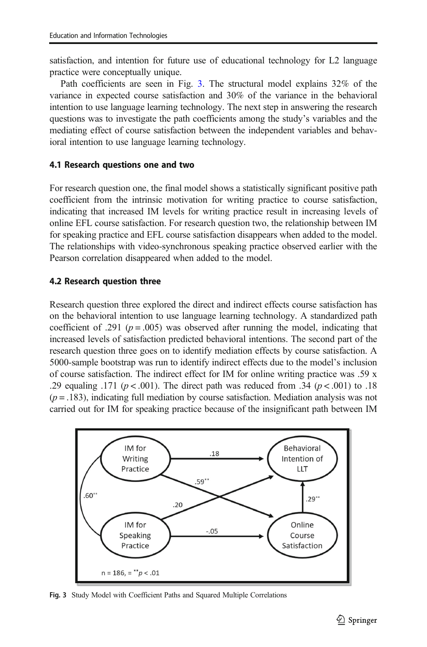<span id="page-10-0"></span>satisfaction, and intention for future use of educational technology for L2 language practice were conceptually unique.

Path coefficients are seen in Fig. 3. The structural model explains 32% of the variance in expected course satisfaction and 30% of the variance in the behavioral intention to use language learning technology. The next step in answering the research questions was to investigate the path coefficients among the study's variables and the mediating effect of course satisfaction between the independent variables and behavioral intention to use language learning technology.

## 4.1 Research questions one and two

For research question one, the final model shows a statistically significant positive path coefficient from the intrinsic motivation for writing practice to course satisfaction, indicating that increased IM levels for writing practice result in increasing levels of online EFL course satisfaction. For research question two, the relationship between IM for speaking practice and EFL course satisfaction disappears when added to the model. The relationships with video-synchronous speaking practice observed earlier with the Pearson correlation disappeared when added to the model.

## 4.2 Research question three

Research question three explored the direct and indirect effects course satisfaction has on the behavioral intention to use language learning technology. A standardized path coefficient of .291 ( $p = .005$ ) was observed after running the model, indicating that increased levels of satisfaction predicted behavioral intentions. The second part of the research question three goes on to identify mediation effects by course satisfaction. A 5000-sample bootstrap was run to identify indirect effects due to the model's inclusion of course satisfaction. The indirect effect for IM for online writing practice was .59 x .29 equaling .171 ( $p < .001$ ). The direct path was reduced from .34 ( $p < .001$ ) to .18  $(p = .183)$ , indicating full mediation by course satisfaction. Mediation analysis was not carried out for IM for speaking practice because of the insignificant path between IM



Fig. 3 Study Model with Coefficient Paths and Squared Multiple Correlations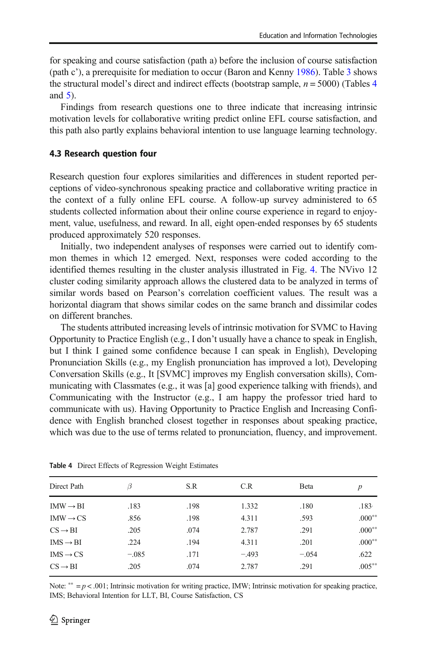for speaking and course satisfaction (path a) before the inclusion of course satisfaction (path c'), a prerequisite for mediation to occur (Baron and Kenny [1986](#page-18-0)). Table [3](#page-9-0) shows the structural model's direct and indirect effects (bootstrap sample,  $n = 5000$ ) (Tables 4 and [5\)](#page-12-0).

Findings from research questions one to three indicate that increasing intrinsic motivation levels for collaborative writing predict online EFL course satisfaction, and this path also partly explains behavioral intention to use language learning technology.

## 4.3 Research question four

Research question four explores similarities and differences in student reported perceptions of video-synchronous speaking practice and collaborative writing practice in the context of a fully online EFL course. A follow-up survey administered to 65 students collected information about their online course experience in regard to enjoyment, value, usefulness, and reward. In all, eight open-ended responses by 65 students produced approximately 520 responses.

Initially, two independent analyses of responses were carried out to identify common themes in which 12 emerged. Next, responses were coded according to the identified themes resulting in the cluster analysis illustrated in Fig. [4](#page-12-0). The NVivo 12 cluster coding similarity approach allows the clustered data to be analyzed in terms of similar words based on Pearson's correlation coefficient values. The result was a horizontal diagram that shows similar codes on the same branch and dissimilar codes on different branches.

The students attributed increasing levels of intrinsic motivation for SVMC to Having Opportunity to Practice English (e.g., I don't usually have a chance to speak in English, but I think I gained some confidence because I can speak in English), Developing Pronunciation Skills (e.g., my English pronunciation has improved a lot), Developing Conversation Skills (e.g., It [SVMC] improves my English conversation skills), Communicating with Classmates (e.g., it was [a] good experience talking with friends), and Communicating with the Instructor (e.g., I am happy the professor tried hard to communicate with us). Having Opportunity to Practice English and Increasing Confidence with English branched closest together in responses about speaking practice, which was due to the use of terms related to pronunciation, fluency, and improvement.

| Direct Path          | β       | S.R  | C.R     | <b>B</b> eta | $\boldsymbol{p}$ |
|----------------------|---------|------|---------|--------------|------------------|
| $IMW \rightarrow BI$ | .183    | .198 | 1.332   | .180         | $.183 -$         |
| $IMW \rightarrow CS$ | .856    | .198 | 4.311   | .593         | $.000**$         |
| $CS \rightarrow BI$  | .205    | .074 | 2.787   | .291         | $.000**$         |
| $IMS \rightarrow BI$ | .224    | .194 | 4.311   | .201         | $.000**$         |
| $IMS \rightarrow CS$ | $-.085$ | .171 | $-.493$ | $-.054$      | .622             |
| $CS \rightarrow BI$  | .205    | .074 | 2.787   | .291         | $.005***$        |
|                      |         |      |         |              |                  |

Table 4 Direct Effects of Regression Weight Estimates

Note: \*\*  $=p$  < .001; Intrinsic motivation for writing practice, IMW; Intrinsic motivation for speaking practice, IMS; Behavioral Intention for LLT, BI, Course Satisfaction, CS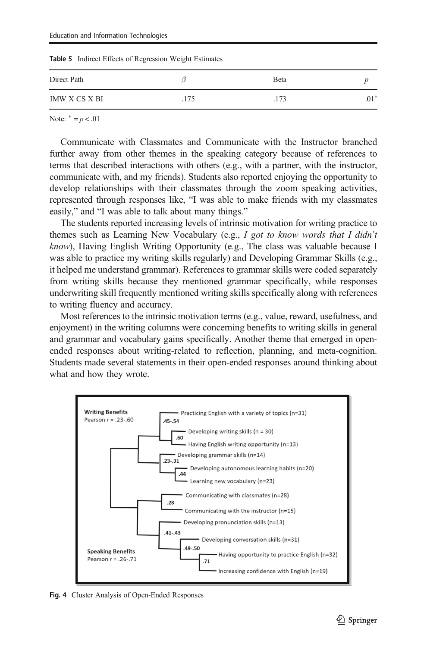<span id="page-12-0"></span>Table 5 Indirect Effects of Regression Weight Estimates

| Direct Path   |      | Beta |  |
|---------------|------|------|--|
| IMW X CS X BI | .175 | .173 |  |

Note:  $* = p < .01$ 

Communicate with Classmates and Communicate with the Instructor branched further away from other themes in the speaking category because of references to terms that described interactions with others (e.g., with a partner, with the instructor, communicate with, and my friends). Students also reported enjoying the opportunity to develop relationships with their classmates through the zoom speaking activities, represented through responses like, "I was able to make friends with my classmates easily," and "I was able to talk about many things."

The students reported increasing levels of intrinsic motivation for writing practice to themes such as Learning New Vocabulary (e.g., I got to know words that I didn't know), Having English Writing Opportunity (e.g., The class was valuable because I was able to practice my writing skills regularly) and Developing Grammar Skills (e.g., it helped me understand grammar). References to grammar skills were coded separately from writing skills because they mentioned grammar specifically, while responses underwriting skill frequently mentioned writing skills specifically along with references to writing fluency and accuracy.

Most references to the intrinsic motivation terms (e.g., value, reward, usefulness, and enjoyment) in the writing columns were concerning benefits to writing skills in general and grammar and vocabulary gains specifically. Another theme that emerged in openended responses about writing-related to reflection, planning, and meta-cognition. Students made several statements in their open-ended responses around thinking about what and how they wrote.



Fig. 4 Cluster Analysis of Open-Ended Responses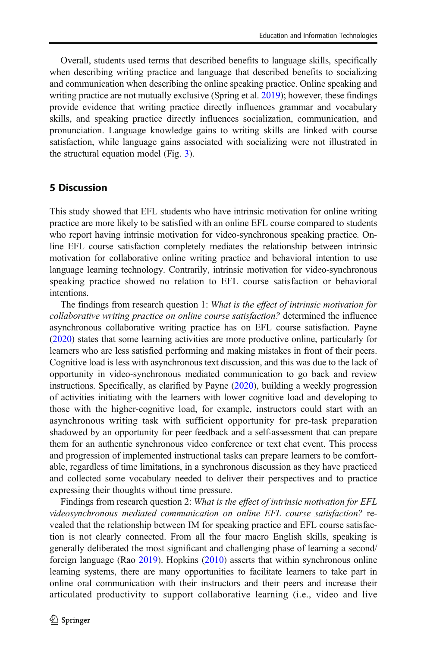Overall, students used terms that described benefits to language skills, specifically when describing writing practice and language that described benefits to socializing and communication when describing the online speaking practice. Online speaking and writing practice are not mutually exclusive (Spring et al. [2019\)](#page-20-0); however, these findings provide evidence that writing practice directly influences grammar and vocabulary skills, and speaking practice directly influences socialization, communication, and pronunciation. Language knowledge gains to writing skills are linked with course satisfaction, while language gains associated with socializing were not illustrated in the structural equation model (Fig. [3\)](#page-10-0).

### 5 Discussion

This study showed that EFL students who have intrinsic motivation for online writing practice are more likely to be satisfied with an online EFL course compared to students who report having intrinsic motivation for video-synchronous speaking practice. Online EFL course satisfaction completely mediates the relationship between intrinsic motivation for collaborative online writing practice and behavioral intention to use language learning technology. Contrarily, intrinsic motivation for video-synchronous speaking practice showed no relation to EFL course satisfaction or behavioral intentions.

The findings from research question 1: What is the effect of intrinsic motivation for collaborative writing practice on online course satisfaction? determined the influence asynchronous collaborative writing practice has on EFL course satisfaction. Payne [\(2020\)](#page-19-0) states that some learning activities are more productive online, particularly for learners who are less satisfied performing and making mistakes in front of their peers. Cognitive load is less with asynchronous text discussion, and this was due to the lack of opportunity in video-synchronous mediated communication to go back and review instructions. Specifically, as clarified by Payne [\(2020\)](#page-19-0), building a weekly progression of activities initiating with the learners with lower cognitive load and developing to those with the higher-cognitive load, for example, instructors could start with an asynchronous writing task with sufficient opportunity for pre-task preparation shadowed by an opportunity for peer feedback and a self-assessment that can prepare them for an authentic synchronous video conference or text chat event. This process and progression of implemented instructional tasks can prepare learners to be comfortable, regardless of time limitations, in a synchronous discussion as they have practiced and collected some vocabulary needed to deliver their perspectives and to practice expressing their thoughts without time pressure.

Findings from research question 2: What is the effect of intrinsic motivation for EFL videosynchronous mediated communication on online EFL course satisfaction? revealed that the relationship between IM for speaking practice and EFL course satisfaction is not clearly connected. From all the four macro English skills, speaking is generally deliberated the most significant and challenging phase of learning a second/ foreign language (Rao [2019](#page-19-0)). Hopkins ([2010](#page-18-0)) asserts that within synchronous online learning systems, there are many opportunities to facilitate learners to take part in online oral communication with their instructors and their peers and increase their articulated productivity to support collaborative learning (i.e., video and live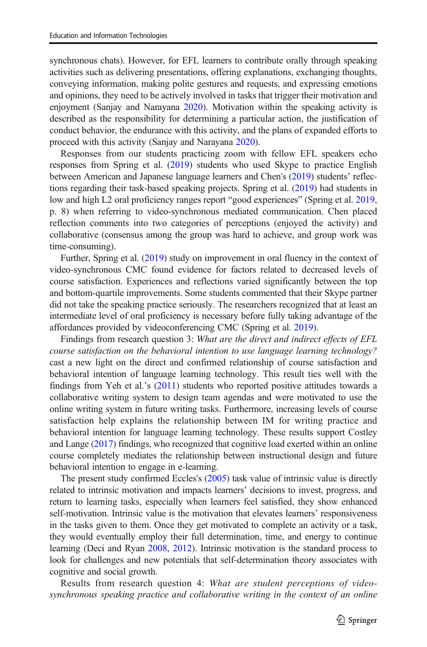synchronous chats). However, for EFL learners to contribute orally through speaking activities such as delivering presentations, offering explanations, exchanging thoughts, conveying information, making polite gestures and requests, and expressing emotions and opinions, they need to be actively involved in tasks that trigger their motivation and enjoyment (Sanjay and Narayana [2020\)](#page-19-0). Motivation within the speaking activity is described as the responsibility for determining a particular action, the justification of conduct behavior, the endurance with this activity, and the plans of expanded efforts to proceed with this activity (Sanjay and Narayana [2020](#page-19-0)).

Responses from our students practicing zoom with fellow EFL speakers echo responses from Spring et al. [\(2019\)](#page-20-0) students who used Skype to practice English between American and Japanese language learners and Chen's [\(2019](#page-18-0)) students' reflections regarding their task-based speaking projects. Spring et al. ([2019](#page-20-0)) had students in low and high L2 oral proficiency ranges report "good experiences" (Spring et al. [2019,](#page-20-0) p. 8) when referring to video-synchronous mediated communication. Chen placed reflection comments into two categories of perceptions (enjoyed the activity) and collaborative (consensus among the group was hard to achieve, and group work was time-consuming).

Further, Spring et al. [\(2019\)](#page-20-0) study on improvement in oral fluency in the context of video-synchronous CMC found evidence for factors related to decreased levels of course satisfaction. Experiences and reflections varied significantly between the top and bottom-quartile improvements. Some students commented that their Skype partner did not take the speaking practice seriously. The researchers recognized that at least an intermediate level of oral proficiency is necessary before fully taking advantage of the affordances provided by videoconferencing CMC (Spring et al. [2019](#page-20-0)).

Findings from research question 3: What are the direct and indirect effects of EFL course satisfaction on the behavioral intention to use language learning technology? cast a new light on the direct and confirmed relationship of course satisfaction and behavioral intention of language learning technology. This result ties well with the findings from Yeh et al.'s ([2011](#page-20-0)) students who reported positive attitudes towards a collaborative writing system to design team agendas and were motivated to use the online writing system in future writing tasks. Furthermore, increasing levels of course satisfaction help explains the relationship between IM for writing practice and behavioral intention for language learning technology. These results support Costley and Lange ([2017](#page-18-0)) findings, who recognized that cognitive load exerted within an online course completely mediates the relationship between instructional design and future behavioral intention to engage in e-learning.

The present study confirmed Eccles's ([2005](#page-18-0)) task value of intrinsic value is directly related to intrinsic motivation and impacts learners' decisions to invest, progress, and return to learning tasks, especially when learners feel satisfied, they show enhanced self-motivation. Intrinsic value is the motivation that elevates learners' responsiveness in the tasks given to them. Once they get motivated to complete an activity or a task, they would eventually employ their full determination, time, and energy to continue learning (Deci and Ryan [2008](#page-18-0), [2012](#page-18-0)). Intrinsic motivation is the standard process to look for challenges and new potentials that self-determination theory associates with cognitive and social growth.

Results from research question 4: What are student perceptions of videosynchronous speaking practice and collaborative writing in the context of an online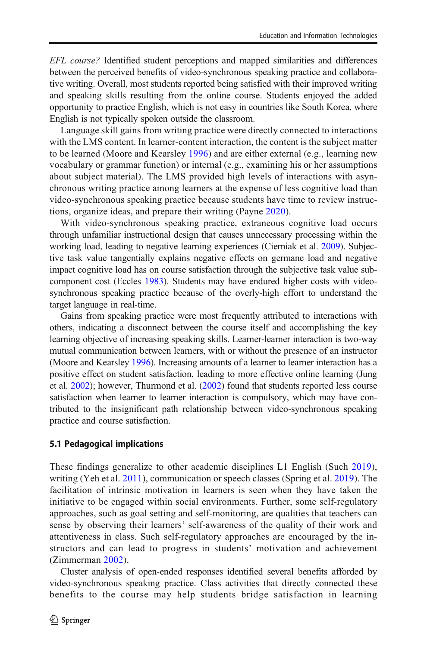EFL course? Identified student perceptions and mapped similarities and differences between the perceived benefits of video-synchronous speaking practice and collaborative writing. Overall, most students reported being satisfied with their improved writing and speaking skills resulting from the online course. Students enjoyed the added opportunity to practice English, which is not easy in countries like South Korea, where English is not typically spoken outside the classroom.

Language skill gains from writing practice were directly connected to interactions with the LMS content. In learner-content interaction, the content is the subject matter to be learned (Moore and Kearsley [1996](#page-19-0)) and are either external (e.g., learning new vocabulary or grammar function) or internal (e.g., examining his or her assumptions about subject material). The LMS provided high levels of interactions with asynchronous writing practice among learners at the expense of less cognitive load than video-synchronous speaking practice because students have time to review instructions, organize ideas, and prepare their writing (Payne [2020](#page-19-0)).

With video-synchronous speaking practice, extraneous cognitive load occurs through unfamiliar instructional design that causes unnecessary processing within the working load, leading to negative learning experiences (Cierniak et al. [2009](#page-18-0)). Subjective task value tangentially explains negative effects on germane load and negative impact cognitive load has on course satisfaction through the subjective task value subcomponent cost (Eccles [1983](#page-18-0)). Students may have endured higher costs with videosynchronous speaking practice because of the overly-high effort to understand the target language in real-time.

Gains from speaking practice were most frequently attributed to interactions with others, indicating a disconnect between the course itself and accomplishing the key learning objective of increasing speaking skills. Learner-learner interaction is two-way mutual communication between learners, with or without the presence of an instructor (Moore and Kearsley [1996\)](#page-19-0). Increasing amounts of a learner to learner interaction has a positive effect on student satisfaction, leading to more effective online learning (Jung et al. [2002](#page-19-0)); however, Thurmond et al. [\(2002\)](#page-20-0) found that students reported less course satisfaction when learner to learner interaction is compulsory, which may have contributed to the insignificant path relationship between video-synchronous speaking practice and course satisfaction.

### 5.1 Pedagogical implications

These findings generalize to other academic disciplines L1 English (Such [2019\)](#page-20-0), writing (Yeh et al. [2011\)](#page-20-0), communication or speech classes (Spring et al. [2019\)](#page-20-0). The facilitation of intrinsic motivation in learners is seen when they have taken the initiative to be engaged within social environments. Further, some self-regulatory approaches, such as goal setting and self-monitoring, are qualities that teachers can sense by observing their learners' self-awareness of the quality of their work and attentiveness in class. Such self-regulatory approaches are encouraged by the instructors and can lead to progress in students' motivation and achievement (Zimmerman [2002](#page-20-0)).

Cluster analysis of open-ended responses identified several benefits afforded by video-synchronous speaking practice. Class activities that directly connected these benefits to the course may help students bridge satisfaction in learning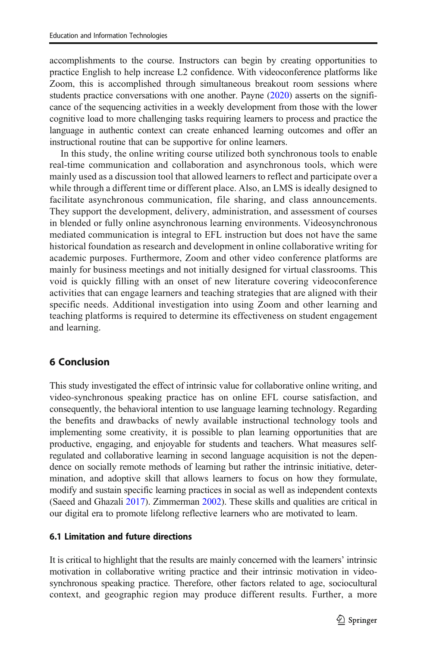accomplishments to the course. Instructors can begin by creating opportunities to practice English to help increase L2 confidence. With videoconference platforms like Zoom, this is accomplished through simultaneous breakout room sessions where students practice conversations with one another. Payne [\(2020\)](#page-19-0) asserts on the significance of the sequencing activities in a weekly development from those with the lower cognitive load to more challenging tasks requiring learners to process and practice the language in authentic context can create enhanced learning outcomes and offer an instructional routine that can be supportive for online learners.

In this study, the online writing course utilized both synchronous tools to enable real-time communication and collaboration and asynchronous tools, which were mainly used as a discussion tool that allowed learners to reflect and participate over a while through a different time or different place. Also, an LMS is ideally designed to facilitate asynchronous communication, file sharing, and class announcements. They support the development, delivery, administration, and assessment of courses in blended or fully online asynchronous learning environments. Videosynchronous mediated communication is integral to EFL instruction but does not have the same historical foundation as research and development in online collaborative writing for academic purposes. Furthermore, Zoom and other video conference platforms are mainly for business meetings and not initially designed for virtual classrooms. This void is quickly filling with an onset of new literature covering videoconference activities that can engage learners and teaching strategies that are aligned with their specific needs. Additional investigation into using Zoom and other learning and teaching platforms is required to determine its effectiveness on student engagement and learning.

## 6 Conclusion

This study investigated the effect of intrinsic value for collaborative online writing, and video-synchronous speaking practice has on online EFL course satisfaction, and consequently, the behavioral intention to use language learning technology. Regarding the benefits and drawbacks of newly available instructional technology tools and implementing some creativity, it is possible to plan learning opportunities that are productive, engaging, and enjoyable for students and teachers. What measures selfregulated and collaborative learning in second language acquisition is not the dependence on socially remote methods of learning but rather the intrinsic initiative, determination, and adoptive skill that allows learners to focus on how they formulate, modify and sustain specific learning practices in social as well as independent contexts (Saeed and Ghazali [2017](#page-19-0)). Zimmerman [2002\)](#page-20-0). These skills and qualities are critical in our digital era to promote lifelong reflective learners who are motivated to learn.

## 6.1 Limitation and future directions

It is critical to highlight that the results are mainly concerned with the learners' intrinsic motivation in collaborative writing practice and their intrinsic motivation in videosynchronous speaking practice. Therefore, other factors related to age, sociocultural context, and geographic region may produce different results. Further, a more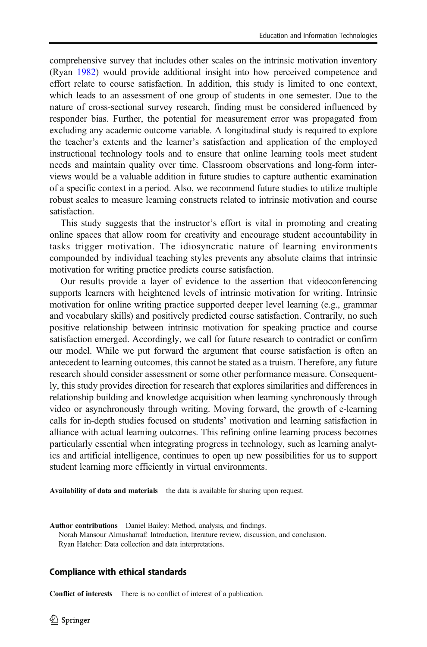comprehensive survey that includes other scales on the intrinsic motivation inventory (Ryan [1982\)](#page-19-0) would provide additional insight into how perceived competence and effort relate to course satisfaction. In addition, this study is limited to one context, which leads to an assessment of one group of students in one semester. Due to the nature of cross-sectional survey research, finding must be considered influenced by responder bias. Further, the potential for measurement error was propagated from excluding any academic outcome variable. A longitudinal study is required to explore the teacher's extents and the learner's satisfaction and application of the employed instructional technology tools and to ensure that online learning tools meet student needs and maintain quality over time. Classroom observations and long-form interviews would be a valuable addition in future studies to capture authentic examination of a specific context in a period. Also, we recommend future studies to utilize multiple robust scales to measure learning constructs related to intrinsic motivation and course satisfaction.

This study suggests that the instructor's effort is vital in promoting and creating online spaces that allow room for creativity and encourage student accountability in tasks trigger motivation. The idiosyncratic nature of learning environments compounded by individual teaching styles prevents any absolute claims that intrinsic motivation for writing practice predicts course satisfaction.

Our results provide a layer of evidence to the assertion that videoconferencing supports learners with heightened levels of intrinsic motivation for writing. Intrinsic motivation for online writing practice supported deeper level learning (e.g., grammar and vocabulary skills) and positively predicted course satisfaction. Contrarily, no such positive relationship between intrinsic motivation for speaking practice and course satisfaction emerged. Accordingly, we call for future research to contradict or confirm our model. While we put forward the argument that course satisfaction is often an antecedent to learning outcomes, this cannot be stated as a truism. Therefore, any future research should consider assessment or some other performance measure. Consequently, this study provides direction for research that explores similarities and differences in relationship building and knowledge acquisition when learning synchronously through video or asynchronously through writing. Moving forward, the growth of e-learning calls for in-depth studies focused on students' motivation and learning satisfaction in alliance with actual learning outcomes. This refining online learning process becomes particularly essential when integrating progress in technology, such as learning analytics and artificial intelligence, continues to open up new possibilities for us to support student learning more efficiently in virtual environments.

Availability of data and materials the data is available for sharing upon request.

Author contributions Daniel Bailey: Method, analysis, and findings. Norah Mansour Almusharraf: Introduction, literature review, discussion, and conclusion. Ryan Hatcher: Data collection and data interpretations.

### Compliance with ethical standards

Conflict of interests There is no conflict of interest of a publication.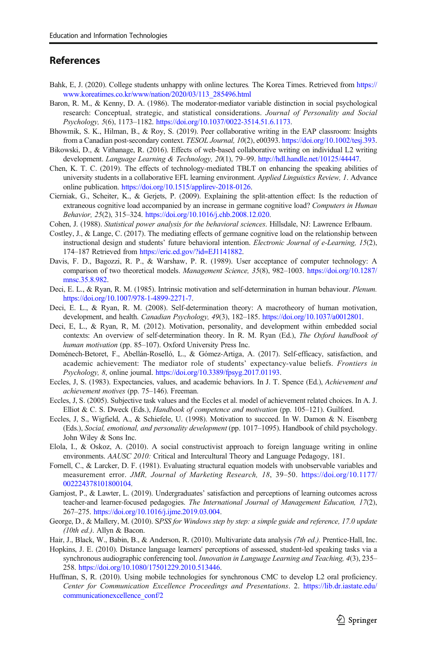## <span id="page-18-0"></span>References

- Bahk, E, J. (2020). College students unhappy with online lectures. The Korea Times. Retrieved from [https://](https://www.koreatimes.co.kr/www/nation/2020/03/113_285496.html) [www.koreatimes.co.kr/www/nation/2020/03/113\\_285496.html](https://www.koreatimes.co.kr/www/nation/2020/03/113_285496.html)
- Baron, R. M., & Kenny, D. A. (1986). The moderator-mediator variable distinction in social psychological research: Conceptual, strategic, and statistical considerations. Journal of Personality and Social Psychology, 5(6), 1173–1182. <https://doi.org/10.1037/0022-3514.51.6.1173>.
- Bhowmik, S. K., Hilman, B., & Roy, S. (2019). Peer collaborative writing in the EAP classroom: Insights from a Canadian post-secondary context. TESOL Journal, 10(2), e00393. <https://doi.org/10.1002/tesj.393>.
- Bikowski, D., & Vithanage, R. (2016). Effects of web-based collaborative writing on individual L2 writing development. Language Learning & Technology, 20(1), 79–99. [http://hdl.handle.net/10125/44447.](http://hdl.handle.net/10125/44447)
- Chen, K. T. C. (2019). The effects of technology-mediated TBLT on enhancing the speaking abilities of university students in a collaborative EFL learning environment. Applied Linguistics Review, 1. Advance online publication. <https://doi.org/10.1515/applirev-2018-0126>.
- Cierniak, G., Scheiter, K., & Gerjets, P. (2009). Explaining the split-attention effect: Is the reduction of extraneous cognitive load accompanied by an increase in germane cognitive load? Computers in Human Behavior, 25(2), 315–324. <https://doi.org/10.1016/j.chb.2008.12.020>.
- Cohen, J. (1988). Statistical power analysis for the behavioral sciences. Hillsdale, NJ: Lawrence Erlbaum.
- Costley, J., & Lange, C. (2017). The mediating effects of germane cognitive load on the relationship between instructional design and students' future behavioral intention. Electronic Journal of e-Learning, 15(2), 174–187 Retrieved from <https://eric.ed.gov/?id=EJ1141882>.
- Davis, F. D., Bagozzi, R. P., & Warshaw, P. R. (1989). User acceptance of computer technology: A comparison of two theoretical models. Management Science, 35(8), 982–1003. [https://doi.org/10.1287/](https://doi.org/10.1287/mnsc.35.8.982) [mnsc.35.8.982](https://doi.org/10.1287/mnsc.35.8.982).
- Deci, E. L., & Ryan, R. M. (1985). Intrinsic motivation and self-determination in human behaviour. Plenum. <https://doi.org/10.1007/978-1-4899-2271-7>.
- Deci, E. L., & Ryan, R. M. (2008). Self-determination theory: A macrotheory of human motivation, development, and health. Canadian Psychology, 49(3), 182–185. [https://doi.org/10.1037/a0012801.](https://doi.org/10.1037/a0012801)
- Deci, E, L., & Ryan, R, M. (2012). Motivation, personality, and development within embedded social contexts: An overview of self-determination theory. In R. M. Ryan (Ed.), The Oxford handbook of human motivation (pp. 85–107). Oxford University Press Inc.
- Doménech-Betoret, F., Abellán-Roselló, L., & Gómez-Artiga, A. (2017). Self-efficacy, satisfaction, and academic achievement: The mediator role of students' expectancy-value beliefs. Frontiers in Psychology, 8, online journal. [https://doi.org/10.3389/fpsyg.2017.01193.](https://doi.org/10.3389/fpsyg.2017.01193)
- Eccles, J, S. (1983). Expectancies, values, and academic behaviors. In J. T. Spence (Ed.), Achievement and achievement motives (pp. 75–146). Freeman.
- Eccles, J, S. (2005). Subjective task values and the Eccles et al. model of achievement related choices. In A. J. Elliot & C. S. Dweck (Eds.), Handbook of competence and motivation (pp. 105–121). Guilford.
- Eccles, J, S., Wigfield, A., & Schiefele, U. (1998). Motivation to succeed. In W. Damon & N. Eisenberg (Eds.), Social, emotional, and personality development (pp. 1017–1095). Handbook of child psychology. John Wiley & Sons Inc.
- Elola, I., & Oskoz, A. (2010). A social constructivist approach to foreign language writing in online environments. AAUSC 2010: Critical and Intercultural Theory and Language Pedagogy, 181.
- Fornell, C., & Larcker, D. F. (1981). Evaluating structural equation models with unobservable variables and measurement error. JMR, Journal of Marketing Research, 18, 39–50. [https://doi.org/10.1177/](https://doi.org/10.1177/002224378101800104) [002224378101800104.](https://doi.org/10.1177/002224378101800104)
- Garnjost, P., & Lawter, L. (2019). Undergraduates' satisfaction and perceptions of learning outcomes across teacher-and learner-focused pedagogies. The International Journal of Management Education, 17(2), 267–275. <https://doi.org/10.1016/j.ijme.2019.03.004>.
- George, D., & Mallery, M. (2010). SPSS for Windows step by step: a simple guide and reference, 17.0 update (10th ed.). Allyn & Bacon.
- Hair, J., Black, W., Babin, B., & Anderson, R. (2010). Multivariate data analysis (7th ed.). Prentice-Hall, Inc.
- Hopkins, J. E. (2010). Distance language learners' perceptions of assessed, student-led speaking tasks via a synchronous audiographic conferencing tool. Innovation in Language Learning and Teaching, 4(3), 235– 258. <https://doi.org/10.1080/17501229.2010.513446>.
- Huffman, S, R. (2010). Using mobile technologies for synchronous CMC to develop L2 oral proficiency. Center for Communication Excellence Proceedings and Presentations. 2. [https://lib.dr.iastate.edu/](https://lib.dr.iastate.edu/communicationexcellence_conf/2) [communicationexcellence\\_conf/2](https://lib.dr.iastate.edu/communicationexcellence_conf/2)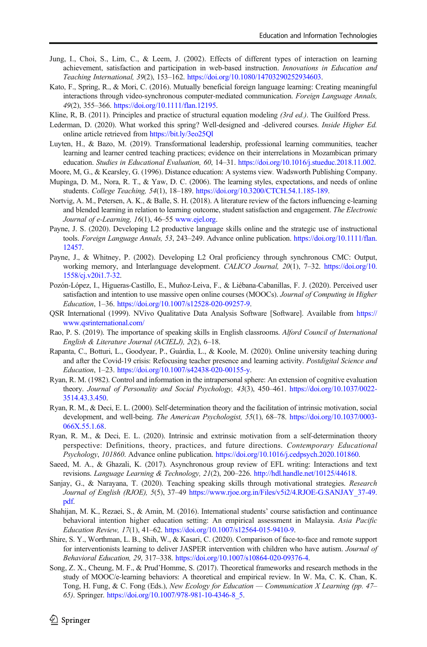- <span id="page-19-0"></span>Jung, I., Choi, S., Lim, C., & Leem, J. (2002). Effects of different types of interaction on learning achievement, satisfaction and participation in web-based instruction. Innovations in Education and Teaching International, 39(2), 153–162. [https://doi.org/10.1080/14703290252934603.](https://doi.org/10.1080/14703290252934603)
- Kato, F., Spring, R., & Mori, C. (2016). Mutually beneficial foreign language learning: Creating meaningful interactions through video-synchronous computer-mediated communication. Foreign Language Annals, 49(2), 355–366. <https://doi.org/10.1111/flan.12195>.
- Kline, R, B. (2011). Principles and practice of structural equation modeling (3rd ed.). The Guilford Press.
- Lederman, D. (2020). What worked this spring? Well-designed and -delivered courses. Inside Higher Ed. online article retrieved from <https://bit.ly/3eo25Ql>
- Luyten, H., & Bazo, M. (2019). Transformational leadership, professional learning communities, teacher learning and learner centred teaching practices; evidence on their interrelations in Mozambican primary education. Studies in Educational Evaluation, 60, 14–31. <https://doi.org/10.1016/j.stueduc.2018.11.002>.
- Moore, M, G., & Kearsley, G. (1996). Distance education: A systems view. Wadsworth Publishing Company.
- Mupinga, D. M., Nora, R. T., & Yaw, D. C. (2006). The learning styles, expectations, and needs of online students. College Teaching, 54(1), 18–189. [https://doi.org/10.3200/CTCH.54.1.185-189.](https://doi.org/10.3200/CTCH.54.1.185-189)
- Nortvig, A. M., Petersen, A. K., & Balle, S. H. (2018). A literature review of the factors influencing e-learning and blended learning in relation to learning outcome, student satisfaction and engagement. The Electronic Journal of e-Learning, 16(1), 46–55 [www.ejel.org](https://edifix.com/jobs/www.ejel.org).
- Payne, J. S. (2020). Developing L2 productive language skills online and the strategic use of instructional tools. Foreign Language Annals, 53, 243–249. Advance online publication. [https://doi.org/10.1111/flan.](https://doi.org/10.1111/flan.12457) [12457](https://doi.org/10.1111/flan.12457).
- Payne, J., & Whitney, P. (2002). Developing L2 Oral proficiency through synchronous CMC: Output, working memory, and Interlanguage development. CALICO Journal, 20(1), 7-32. [https://doi.org/10.](https://doi.org/10.1558/cj.v20i1.7-32) [1558/cj.v20i1.7-32](https://doi.org/10.1558/cj.v20i1.7-32).
- Pozón-López, I., Higueras-Castillo, E., Muñoz-Leiva, F., & Liébana-Cabanillas, F. J. (2020). Perceived user satisfaction and intention to use massive open online courses (MOOCs). Journal of Computing in Higher Education, 1–36. <https://doi.org/10.1007/s12528-020-09257-9>.
- QSR International (1999). NVivo Qualitative Data Analysis Software [Software]. Available from [https://](https://www.qsrinternational.com/) [www.qsrinternational.com/](https://www.qsrinternational.com/)
- Rao, P. S. (2019). The importance of speaking skills in English classrooms. Alford Council of International English & Literature Journal (ACIELJ), 2(2), 6–18.
- Rapanta, C., Botturi, L., Goodyear, P., Guàrdia, L., & Koole, M. (2020). Online university teaching during and after the Covid-19 crisis: Refocusing teacher presence and learning activity. Postdigital Science and Education, 1–23. <https://doi.org/10.1007/s42438-020-00155-y>.
- Ryan, R. M. (1982). Control and information in the intrapersonal sphere: An extension of cognitive evaluation theory. Journal of Personality and Social Psychology, 43(3), 450–461. [https://doi.org/10.1037/0022-](https://doi.org/10.1037/0022-3514.43.3.450) [3514.43.3.450](https://doi.org/10.1037/0022-3514.43.3.450).
- Ryan, R. M., & Deci, E. L. (2000). Self-determination theory and the facilitation of intrinsic motivation, social development, and well-being. The American Psychologist, 55(1), 68–78. [https://doi.org/10.1037/0003-](https://doi.org/10.1037/0003-066X.55.1.68) [066X.55.1.68](https://doi.org/10.1037/0003-066X.55.1.68).
- Ryan, R. M., & Deci, E. L. (2020). Intrinsic and extrinsic motivation from a self-determination theory perspective: Definitions, theory, practices, and future directions. Contemporary Educational Psychology, 101860. Advance online publication. <https://doi.org/10.1016/j.cedpsych.2020.101860>.
- Saeed, M. A., & Ghazali, K. (2017). Asynchronous group review of EFL writing: Interactions and text revisions. Language Learning & Technology, 21(2), 200–226. [http://hdl.handle.net/10125/44618.](http://hdl.handle.net/10125/44618)
- Sanjay, G., & Narayana, T. (2020). Teaching speaking skills through motivational strategies. Research Journal of English (RJOE), 5(5), 37–49 [https://www.rjoe.org.in/Files/v5i2/4.RJOE-G.SANJAY\\_37-49.](https://www.rjoe.org.in/Files/v5i2/4.RJOE-G.SANJAY_37-49.pdf) [pdf](https://www.rjoe.org.in/Files/v5i2/4.RJOE-G.SANJAY_37-49.pdf).
- Shahijan, M. K., Rezaei, S., & Amin, M. (2016). International students' course satisfaction and continuance behavioral intention higher education setting: An empirical assessment in Malaysia. Asia Pacific Education Review, 17(1), 41–62. [https://doi.org/10.1007/s12564-015-9410-9.](https://doi.org/10.1007/s12564-015-9410-9)
- Shire, S. Y., Worthman, L. B., Shih, W., & Kasari, C. (2020). Comparison of face-to-face and remote support for interventionists learning to deliver JASPER intervention with children who have autism. Journal of Behavioral Education, 29, 317–338. <https://doi.org/10.1007/s10864-020-09376-4>.
- Song, Z. X., Cheung, M. F., & Prud'Homme, S. (2017). Theoretical frameworks and research methods in the study of MOOC/e-learning behaviors: A theoretical and empirical review. In W. Ma, C. K. Chan, K. Tong, H. Fung, & C. Fong (Eds.), New Ecology for Education — Communication X Learning (pp. 47– 65). Springer. [https://doi.org/10.1007/978-981-10-4346-8\\_5](https://doi.org/10.1007/978-981-10-4346-8_5).